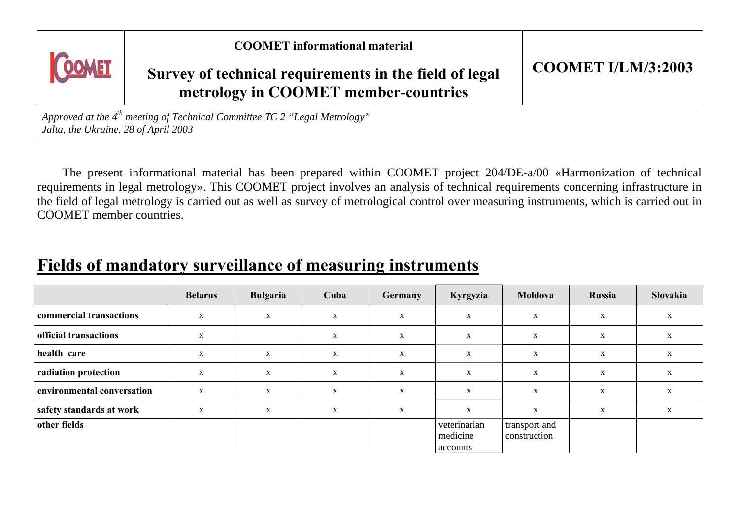| <b>COOMET</b>                                                                                                          | <b>COOMET</b> informational material                                                           |                           |  |  |  |  |  |
|------------------------------------------------------------------------------------------------------------------------|------------------------------------------------------------------------------------------------|---------------------------|--|--|--|--|--|
|                                                                                                                        | Survey of technical requirements in the field of legal<br>metrology in COOMET member-countries | <b>COOMET I/LM/3:2003</b> |  |  |  |  |  |
| Approved at the $4^{th}$ meeting of Technical Committee TC 2 "Legal Metrology"<br>Jalta, the Ukraine, 28 of April 2003 |                                                                                                |                           |  |  |  |  |  |

The present informational material has been prepared within COOMET project 204/DE-a/00 «Harmonization of technical requirements in legal metrology». This COOMET project involves an analysis of technical requirements concerning infrastructure in the field of legal metrology is carried out as well as survey of metrological control over measuring instruments, which is carried out in COOMET member countries.

## **Fields of mandatory surveillance of measuring instruments**

|                            | <b>Belarus</b> | <b>Bulgaria</b> | Cuba        | <b>Germany</b> | Kyrgyzia                             | Moldova                       | Russia | Slovakia |
|----------------------------|----------------|-----------------|-------------|----------------|--------------------------------------|-------------------------------|--------|----------|
| commercial transactions    | X              | X               | $\mathbf x$ | X              | X                                    | $\mathbf{X}$                  | X      |          |
| official transactions      | $\mathbf X$    |                 | X           | X              | X                                    | X                             | X      | X        |
| health care                | X              | X               | X           | X              | X                                    | X                             | X      | X        |
| radiation protection       | $\mathbf{X}$   | X               | X           | X              | X                                    | X                             | X      |          |
| environmental conversation | $\mathbf X$    | $\mathbf X$     | $\mathbf x$ | X              | X                                    | $\mathbf{X}$                  | X      | X        |
| safety standards at work   | X              | X               | X           | X              | X                                    | X                             | X      |          |
| other fields               |                |                 |             |                | veterinarian<br>medicine<br>accounts | transport and<br>construction |        |          |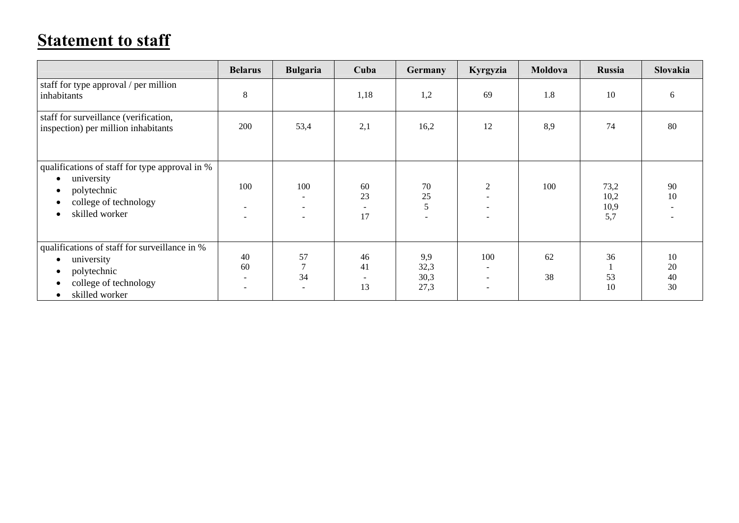## **Statement to staff**

|                                                                                                                                                                           | <b>Belarus</b>                                              | <b>Bulgaria</b>           | Cuba                                       | Germany                     | Kyrgyzia                                                    | Moldova  | <b>Russia</b>               | <b>Slovakia</b>      |
|---------------------------------------------------------------------------------------------------------------------------------------------------------------------------|-------------------------------------------------------------|---------------------------|--------------------------------------------|-----------------------------|-------------------------------------------------------------|----------|-----------------------------|----------------------|
| staff for type approval / per million<br>inhabitants                                                                                                                      | $\,8$                                                       |                           | 1,18                                       | 1,2                         | 69                                                          | 1.8      | 10                          | 6                    |
| staff for surveillance (verification,<br>inspection) per million inhabitants                                                                                              | 200                                                         | 53,4                      | 2,1                                        | 16,2                        | 12                                                          | 8,9      | 74                          | 80                   |
| qualifications of staff for type approval in %<br>university<br>$\bullet$<br>polytechnic<br>٠<br>college of technology<br>٠<br>skilled worker<br>$\bullet$                | 100<br>$\overline{\phantom{a}}$<br>$\overline{\phantom{a}}$ | 100                       | 60<br>23<br>$\overline{\phantom{a}}$<br>17 | $70\,$<br>25<br>5           | 2<br>$\overline{\phantom{0}}$                               | 100      | 73,2<br>10,2<br>10,9<br>5,7 | 90<br>10             |
| qualifications of staff for surveillance in %<br>university<br>$\bullet$<br>polytechnic<br>$\bullet$<br>college of technology<br>$\bullet$<br>skilled worker<br>$\bullet$ | 40<br>60<br>$\overline{\phantom{a}}$                        | 57<br>$\mathcal{L}$<br>34 | 46<br>41<br>$\overline{\phantom{a}}$<br>13 | 9,9<br>32,3<br>30,3<br>27,3 | 100<br>$\overline{\phantom{a}}$<br>$\overline{\phantom{a}}$ | 62<br>38 | 36<br>53<br>10              | 10<br>20<br>40<br>30 |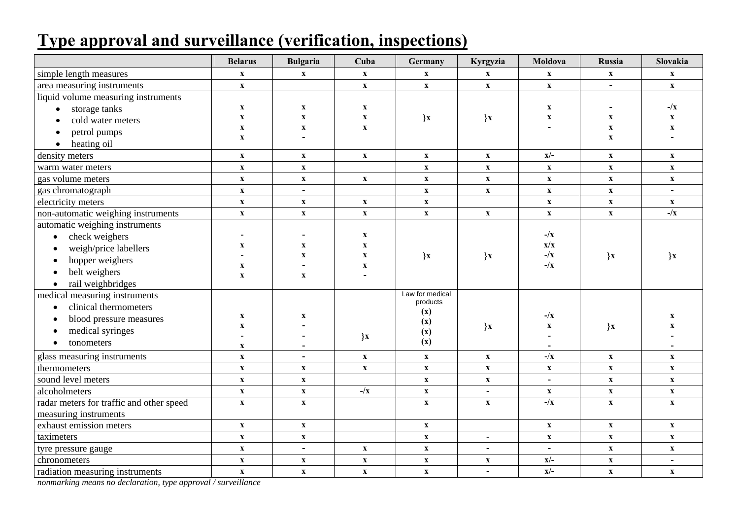## **Type approval and surveillance (verification, inspections)**

|                                          | <b>Belarus</b>              | <b>Bulgaria</b>           | Cuba                           | Germany                   | Kyrgyzia                  | Moldova                   | Russia                    | Slovakia                  |
|------------------------------------------|-----------------------------|---------------------------|--------------------------------|---------------------------|---------------------------|---------------------------|---------------------------|---------------------------|
| simple length measures                   | $\boldsymbol{\mathrm{X}}$   | $\boldsymbol{\mathrm{X}}$ | $\boldsymbol{\mathrm{X}}$      | $\boldsymbol{\mathrm{X}}$ | $\boldsymbol{\mathrm{X}}$ | $\boldsymbol{\mathrm{X}}$ | $\boldsymbol{\mathrm{X}}$ | $\boldsymbol{\mathrm{X}}$ |
| area measuring instruments               | $\mathbf X$                 |                           | $\boldsymbol{\mathrm{X}}$      | $\mathbf X$               | $\boldsymbol{\mathrm{X}}$ | $\boldsymbol{\mathrm{X}}$ | $\blacksquare$            | $\mathbf{X}$              |
| liquid volume measuring instruments      |                             |                           |                                |                           |                           |                           |                           |                           |
| storage tanks<br>$\bullet$               | $\mathbf X$                 | $\mathbf x$               | $\mathbf{x}$                   |                           |                           | $\mathbf{x}$              |                           | $-\sqrt{x}$               |
| cold water meters<br>$\bullet$           | $\mathbf X$                 | $\mathbf X$               | $\mathbf X$                    | $\mathbf{x}$              | $\mathbf{x}$              | $\boldsymbol{\mathrm{X}}$ | $\mathbf X$               | $\boldsymbol{\mathrm{X}}$ |
| petrol pumps<br>$\bullet$                | $\boldsymbol{\mathrm{X}}$   | $\mathbf X$               | $\mathbf X$                    |                           |                           | $\blacksquare$            | $\mathbf X$               | $\mathbf X$               |
| heating oil<br>$\bullet$                 | $\mathbf X$                 |                           |                                |                           |                           |                           | $\mathbf X$               |                           |
| density meters                           | $\mathbf X$                 | $\mathbf X$               | $\mathbf{x}$                   | $\mathbf{x}$              | $\boldsymbol{\mathrm{X}}$ | $x/-$                     | $\mathbf{x}$              | $\mathbf X$               |
| warm water meters                        | $\boldsymbol{\mathrm{X}}$   | $\boldsymbol{\mathrm{X}}$ |                                | $\boldsymbol{\mathrm{X}}$ | $\boldsymbol{\mathrm{X}}$ | $\boldsymbol{\mathrm{X}}$ | $\mathbf X$               | $\boldsymbol{\mathrm{X}}$ |
| gas volume meters                        | $\boldsymbol{\mathrm{X}}$   | $\boldsymbol{\mathrm{X}}$ | $\boldsymbol{\mathrm{X}}$      | $\boldsymbol{\mathrm{X}}$ | $\mathbf X$               | $\mathbf X$               | $\boldsymbol{\mathrm{X}}$ | $\boldsymbol{\mathrm{X}}$ |
| gas chromatograph                        | $\mathbf{x}$                | $\blacksquare$            |                                | $\mathbf{x}$              | $\mathbf X$               | $\mathbf X$               | $\mathbf X$               | $\blacksquare$            |
| electricity meters                       | $\boldsymbol{\mathrm{X}}$   | $\boldsymbol{\mathrm{X}}$ | $\boldsymbol{\mathrm{X}}$      | $\boldsymbol{\mathrm{X}}$ |                           | $\boldsymbol{\mathrm{X}}$ | $\boldsymbol{\mathrm{X}}$ | $\boldsymbol{\mathrm{X}}$ |
| non-automatic weighing instruments       | $\mathbf{x}$                | $\boldsymbol{\mathrm{X}}$ | $\mathbf{x}$                   | $\mathbf X$               | $\boldsymbol{\mathrm{X}}$ | $\mathbf{x}$              | $\mathbf X$               | $-\sqrt{x}$               |
| automatic weighing instruments           |                             |                           |                                |                           |                           |                           |                           |                           |
| check weighers<br>$\bullet$              |                             |                           | $\mathbf X$                    |                           |                           | $-\sqrt{x}$               |                           |                           |
| weigh/price labellers<br>$\bullet$       | $\mathbf X$                 | $\mathbf x$               | $\mathbf{x}$                   |                           |                           | x/x                       |                           |                           |
| hopper weighers<br>$\bullet$             |                             | $\mathbf{x}$              | $\mathbf{X}$                   | $\mathbf{x}$              | $\mathbf{x}$              | $-\sqrt{x}$               | $\mathbf{x}$              | $\mathbf{x}$              |
| belt weighers<br>$\bullet$               | $\mathbf X$<br>$\mathbf{x}$ | $\boldsymbol{\mathrm{X}}$ | $\mathbf{x}$<br>$\blacksquare$ |                           |                           | $-\sqrt{x}$               |                           |                           |
| rail weighbridges<br>$\bullet$           |                             |                           |                                |                           |                           |                           |                           |                           |
| medical measuring instruments            |                             |                           |                                | Law for medical           |                           |                           |                           |                           |
| clinical thermometers<br>$\bullet$       |                             |                           |                                | products                  |                           |                           |                           |                           |
| blood pressure measures<br>$\bullet$     | $\boldsymbol{\mathrm{X}}$   | $\boldsymbol{\mathrm{X}}$ |                                | (x)                       |                           | $-\sqrt{x}$               |                           | $\mathbf X$               |
| medical syringes<br>$\bullet$            | $\mathbf X$                 |                           |                                | (x)<br>(x)                | $\mathbf{x}$              | $\boldsymbol{\mathrm{X}}$ | x                         | $\mathbf x$               |
| tonometers<br>$\bullet$                  | $\overline{\phantom{a}}$    |                           | $\mathbf{x}$                   | (x)                       |                           |                           |                           |                           |
|                                          | $\mathbf X$                 |                           |                                |                           |                           |                           |                           |                           |
| glass measuring instruments              | $\mathbf X$                 | $\blacksquare$            | $\mathbf X$                    | $\boldsymbol{\mathrm{X}}$ | $\boldsymbol{\mathrm{X}}$ | $-/\mathbf{x}$            | $\mathbf{x}$              | $\mathbf{x}$              |
| thermometers                             | $\boldsymbol{\mathrm{X}}$   | $\boldsymbol{\mathrm{X}}$ | $\mathbf X$                    | $\mathbf X$               | $\boldsymbol{\mathrm{X}}$ | $\boldsymbol{\mathrm{X}}$ | $\mathbf X$               | $\mathbf X$               |
| sound level meters                       | $\mathbf{x}$                | $\mathbf x$               |                                | $\boldsymbol{\mathrm{X}}$ | $\boldsymbol{\mathrm{X}}$ | $\blacksquare$            | $\mathbf{x}$              | $\boldsymbol{\mathrm{X}}$ |
| alcoholmeters                            | $\mathbf X$                 | $\boldsymbol{\mathrm{X}}$ | $-\sqrt{x}$                    | $\boldsymbol{\mathrm{X}}$ | $\blacksquare$            | $\mathbf X$               | $\mathbf X$               | $\mathbf{X}$              |
| radar meters for traffic and other speed | $\boldsymbol{\mathrm{X}}$   | $\boldsymbol{\mathrm{X}}$ |                                | $\mathbf{x}$              | $\boldsymbol{\mathrm{X}}$ | $-\sqrt{x}$               | $\mathbf{x}$              | $\mathbf X$               |
| measuring instruments                    |                             |                           |                                |                           |                           |                           |                           |                           |
| exhaust emission meters                  | $\mathbf{x}$                | $\mathbf x$               |                                | $\boldsymbol{\mathrm{X}}$ |                           | $\boldsymbol{\mathrm{X}}$ | $\mathbf{X}$              | $\boldsymbol{\mathrm{X}}$ |
| taximeters                               | $\mathbf{x}$                | $\mathbf X$               |                                | $\mathbf X$               | $\overline{\phantom{a}}$  | $\mathbf X$               | $\mathbf{x}$              | $\mathbf X$               |
| tyre pressure gauge                      | $\mathbf X$                 | $\blacksquare$            | $\boldsymbol{\mathrm{X}}$      | $\boldsymbol{\mathrm{X}}$ | $\overline{\phantom{a}}$  | $\blacksquare$            | $\mathbf{x}$              | $\boldsymbol{\mathrm{X}}$ |
| chronometers                             | $\boldsymbol{\mathrm{X}}$   | $\boldsymbol{\mathrm{X}}$ | $\mathbf X$                    | $\boldsymbol{\mathrm{X}}$ | $\boldsymbol{\mathrm{X}}$ | $x/-$                     | $\boldsymbol{\mathrm{X}}$ | $\blacksquare$            |
| radiation measuring instruments          | $\mathbf X$                 | $\boldsymbol{\mathrm{X}}$ | $\mathbf{x}$                   | $\mathbf X$               | $\overline{\phantom{a}}$  | $\overline{x}$            | $\mathbf X$               | $\mathbf X$               |

*nonmarking means no declaration, type approval / surveillance*